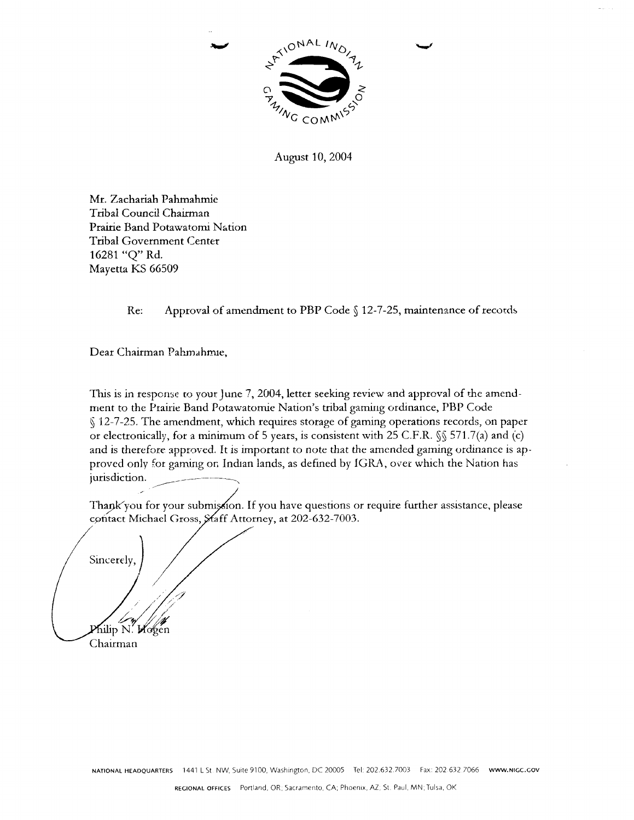

August 10, 2004

Mr. Zachariah Pahmahmie Tribal Council Chairman Prairie Band Potawatomi Nation **Tribal Government Center** 16281 "Q" Rd. Mayetta KS 66509

> Approval of amendment to PBP Code § 12-7-25, maintenance of records Re:

Dear Chairman Pahmahmie.

This is in response to your June 7, 2004, letter seeking review and approval of the amendment to the Prairie Band Potawatomie Nation's tribal gaming ordinance, PBP Code § 12-7-25. The amendment, which requires storage of gaming operations records, on paper or electronically, for a minimum of 5 years, is consistent with 25 C.F.R. §§ 571.7(a) and (c) and is therefore approved. It is important to note that the amended gaming ordinance is approved only for gaming on Indian lands, as defined by IGRA, over which the Nation has jurisdiction.

Thank you for your submission. If you have questions or require further assistance, please contact Michael Gross, Staff Attorney, at 202-632-7003.

Sincerely,

Philip N. Wogen Chairman